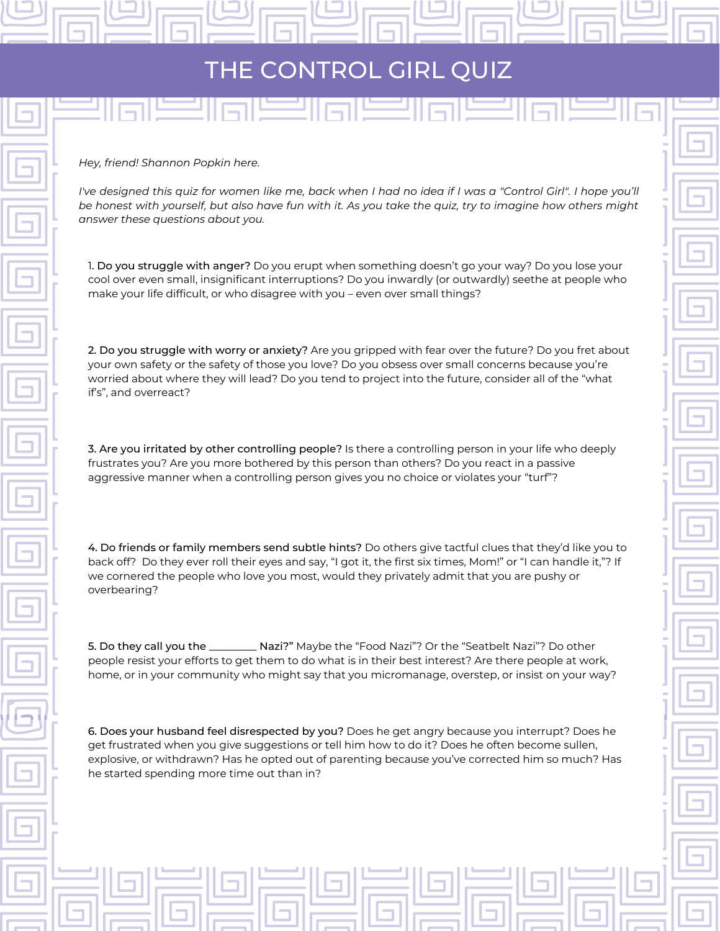## THE CONTROL GIRL QUIZ

لكراها لكاروا لكراه

*Hey, friend! Shannon Popkin here.*

I've designed this quiz for women like me, back when I had no idea if I was a "Control Girl". I hope you'll be honest with yourself, but also have fun with it. As you take the quiz, try to imagine how others might *answer these questions about you.*

1. Do you struggle with anger? Do you erupt when something doesn't go your way? Do you lose your cool over even small, insignificant interruptions? Do you inwardly (or outwardly) seethe at people who make your life difficult, or who disagree with you – even over small things?

2. Do you struggle with worry or anxiety? Are you gripped with fear over the future? Do you fret about your own safety or the safety of those you love? Do you obsess over small concerns because you're worried about where they will lead? Do you tend to project into the future, consider all of the "what if's", and overreact?

3. Are you irritated by other controlling people? Is there a controlling person in your life who deeply frustrates you? Are you more bothered by this person than others? Do you react in a passive aggressive manner when a controlling person gives you no choice or violates your "turf"?

4. Do friends or family members send subtle hints? Do others give tactful clues that they'd like you to back off? Do they ever roll their eyes and say, "I got it, the first six times, Mom!" or "I can handle it,"? If we cornered the people who love you most, would they privately admit that you are pushy or overbearing?

5. Do they call you the \_\_\_\_\_\_\_\_\_ Nazi?" Maybe the "Food Nazi"? Or the "Seatbelt Nazi"? Do other people resist your efforts to get them to do what is in their best interest? Are there people at work, home, or in your community who might say that you micromanage, overstep, or insist on your way?

6. Does your husband feel disrespected by you? Does he get angry because you interrupt? Does he get frustrated when you give suggestions or tell him how to do it? Does he often become sullen, explosive, or withdrawn? Has he opted out of parenting because you've corrected him so much? Has he started spending more time out than in?